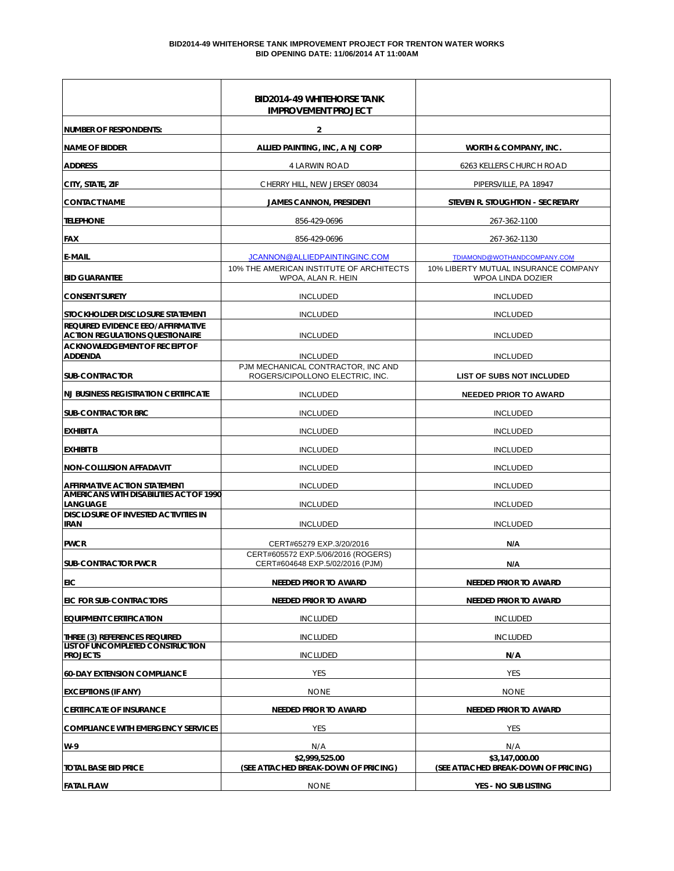|                                                                                       | <b>BID2014-49 WHITEHORSE TANK</b><br><b>IMPROVEMENT PROJECT</b>       |                                                           |
|---------------------------------------------------------------------------------------|-----------------------------------------------------------------------|-----------------------------------------------------------|
| NUMBER OF RESPONDENTS:                                                                | $\mathbf{2}$                                                          |                                                           |
| <b>NAME OF BIDDER</b>                                                                 | ALLIED PAINTING, INC, A NJ CORP                                       | WORTH & COMPANY, INC.                                     |
| <b>ADDRESS</b>                                                                        | 4 LARWIN ROAD                                                         | 6263 KELLERS CHURCH ROAD                                  |
| CITY, STATE, ZIP                                                                      | CHERRY HILL, NEW JERSEY 08034                                         | PIPERSVILLE, PA 18947                                     |
| <b>CONTACT NAME</b>                                                                   | <b>JAMES CANNON, PRESIDENT</b>                                        | STEVEN R. STOUGHTON - SECRETARY                           |
| <b>TELEPHONE</b>                                                                      | 856-429-0696                                                          | 267-362-1100                                              |
| <b>FAX</b>                                                                            | 856-429-0696                                                          | 267-362-1130                                              |
| <b>E-MAIL</b>                                                                         | JCANNON@ALLIEDPAINTINGINC.COM                                         | TDIAMOND@WOTHANDCOMPANY.COM                               |
| <b>BID GUARANTEE</b>                                                                  | 10% THE AMERICAN INSTITUTE OF ARCHITECTS<br>WPOA, ALAN R. HEIN        | 10% LIBERTY MUTUAL INSURANCE COMPANY<br>WPOA LINDA DOZIER |
| <b>CONSENT SURETY</b>                                                                 | <b>INCLUDED</b>                                                       | <b>INCLUDED</b>                                           |
| STOCKHOLDER DISCLOSURE STATEMENT                                                      | <b>INCLUDED</b>                                                       | <b>INCLUDED</b>                                           |
| <b>REQUIRED EVIDENCE EEO/AFFIRMATIVE</b><br><b>ACTION REGULATIONS QUESTIONAIRE</b>    | <b>INCLUDED</b>                                                       | <b>INCLUDED</b>                                           |
| <b>ACKNOWLEDGEMENT OF RECEIPT OF</b><br><b>ADDENDA</b>                                | <b>INCLUDED</b>                                                       | <b>INCLUDED</b>                                           |
| <b>SUB-CONTRACTOR</b>                                                                 | PJM MECHANICAL CONTRACTOR, INC AND<br>ROGERS/CIPOLLONO ELECTRIC, INC. | <b>LIST OF SUBS NOT INCLUDED</b>                          |
| <b>NJ BUSINESS REGISTRATION CERTIFICATE</b>                                           | <b>INCLUDED</b>                                                       | <b>NEEDED PRIOR TO AWARD</b>                              |
| <b>SUB-CONTRACTOR BRC</b>                                                             | <b>INCLUDED</b>                                                       | <b>INCLUDED</b>                                           |
| EXHIBIT A                                                                             | <b>INCLUDED</b>                                                       | <b>INCLUDED</b>                                           |
| <b>EXHIBIT B</b>                                                                      | <b>INCLUDED</b>                                                       | <b>INCLUDED</b>                                           |
| <b>NON-COLLUSION AFFADAVIT</b>                                                        | <b>INCLUDED</b>                                                       | <b>INCLUDED</b>                                           |
| <b>AFFIRMATIVE ACTION STATEMENT</b><br><b>AMERICANS WITH DISABILITIES ACT OF 1990</b> | <b>INCLUDED</b>                                                       | <b>INCLUDED</b>                                           |
| LANGUAGE                                                                              | <b>INCLUDED</b>                                                       | <b>INCLUDED</b>                                           |
| <b>DISCLOSURE OF INVESTED ACTIVITIES IN</b><br><b>IRAN</b>                            | <b>INCLUDED</b>                                                       | <b>INCLUDED</b>                                           |
| <b>PWCR</b>                                                                           | CERT#65279 EXP.3/20/2016                                              | N/A                                                       |
| <b>SUB-CONTRACTOR PWCR</b>                                                            | CERT#605572 EXP.5/06/2016 (ROGERS)<br>CERT#604648 EXP.5/02/2016 (PJM) | N/A                                                       |
| <b>EIC</b>                                                                            | <b>NEEDED PRIOR TO AWARD</b>                                          | <b>NEEDED PRIOR TO AWARD</b>                              |
| <b>EIC FOR SUB-CONTRACTORS</b>                                                        | <b>NEEDED PRIOR TO AWARD</b>                                          | <b>NEEDED PRIOR TO AWARD</b>                              |
| <b>EQUIPMENT CERTIFICATION</b>                                                        | <b>INCLUDED</b>                                                       | <b>INCLUDED</b>                                           |
| THREE (3) REFERENCES REQUIRED                                                         | <b>INCLUDED</b>                                                       | <b>INCLUDED</b>                                           |
| LIST OF UNCOMPLETED CONSTRUCTION<br><b>PROJECTS</b>                                   | <b>INCLUDED</b>                                                       | N/A                                                       |
| <b>60-DAY EXTENSION COMPLIANCE</b>                                                    | YES                                                                   | YES                                                       |
| <b>EXCEPTIONS (IF ANY)</b>                                                            | <b>NONE</b>                                                           | <b>NONE</b>                                               |
| <b>CERTIFICATE OF INSURANCE</b>                                                       | NEEDED PRIOR TO AWARD                                                 | <b>NEEDED PRIOR TO AWARD</b>                              |
| <b>COMPLIANCE WITH EMERGENCY SERVICES</b>                                             | <b>YES</b>                                                            | YES                                                       |
| W-9                                                                                   | N/A                                                                   | N/A                                                       |
| <b>TOTAL BASE BID PRICE</b>                                                           | \$2,999,525.00<br>(SEE ATTACHED BREAK-DOWN OF PRICING)                | \$3,147,000.00<br>(SEE ATTACHED BREAK-DOWN OF PRICING)    |
| <b>FATAL FLAW</b>                                                                     | <b>NONE</b>                                                           | YES - NO SUB LISTING                                      |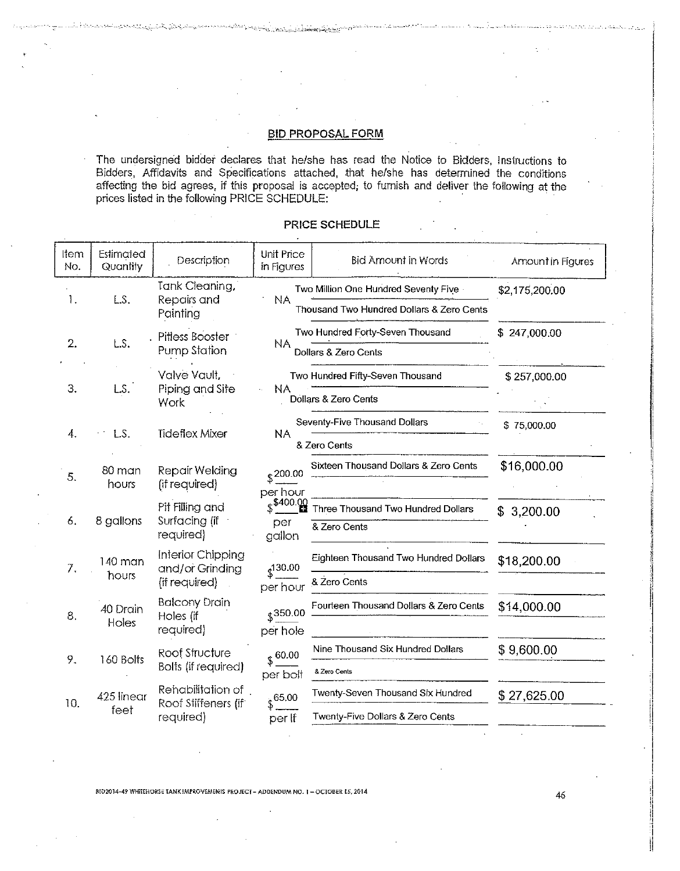#### **BID PROPOSAL FORM**

The undersigned bidder declares that he/she has read the Notice to Bidders, Instructions to Bidders, Affidavits and Specifications attached, that he/she has determined the conditions affecting the bid agrees, if this proposal is accepted, to furnish and deliver the following at the prices listed in the following PRICE SCHEDULE:

| ltem<br>No. | Estimated<br>Quantity | Description                                           | Unit Price<br>in Figures       | <b>Bid Amount in Words</b>                                                        | Amount in Figures |
|-------------|-----------------------|-------------------------------------------------------|--------------------------------|-----------------------------------------------------------------------------------|-------------------|
| 1.          | LS.                   | Tank Cleaning,<br>Repairs and<br>Painting             | <b>NA</b>                      | Two Million One Hundred Seventy Five<br>Thousand Two Hundred Dollars & Zero Cents | \$2,175,200.00    |
| 2.          | L.S.                  | Pitless Booster<br>Pump Station                       | NA.                            | Two Hundred Forty-Seven Thousand<br>Dollars & Zero Cents                          | \$247,000.00      |
| З.          | LS.                   | Valve Vault,<br>Piping and Site<br>Work               | NA                             | Two Hundred Fifty-Seven Thousand<br>Dollars & Zero Cents                          | \$257,000.00      |
| 4.          | L.S.                  | <b>Tideflex Mixer</b>                                 | <b>NA</b>                      | Seventy-Five Thousand Dollars<br>& Zero Cents                                     | \$75,000.00       |
| 5.          | 80 man<br>hours       | Repair Welding<br>(if required)                       | $$^{200.00}$<br>per hour       | Sixteen Thousand Dollars & Zero Cents                                             | \$16,000.00       |
| 6.          | 8 gallons             | Pit Filling and<br>Surfacing (if<br>required)         | $$^{400.00}$<br>per<br>gallon  | Three Thousand Two Hundred Dollars<br>& Zero Cents                                | 3,200.00<br>\$    |
| 7.          | 140 man<br>hours      | Interior Chipping<br>and/or Grinding<br>(if required) | $\frac{130.00}{2}$<br>per hour | Eighteen Thousand Two Hundred Dollars<br>& Zero Cents                             | \$18,200.00       |
| 8.          | 40 Drain<br>Holes     | <b>Balcony Drain</b><br>Holes (if<br>required)        | \$350.00<br>per hole           | Fourteen Thousand Dollars & Zero Cents                                            | \$14,000.00       |
| 9.          | 160 Bolts             | Roof Structure<br><b>Bolts</b> (if required)          | $$^{60.00}$<br>per bolt        | Nine Thousand Six Hundred Dollars<br>& Zero Cents                                 | \$9,600.00        |
| 10.         | 425 linear<br>feet    | Rehabilitation of<br>Roof Stiffeners (if<br>required) | 65.00<br>per If                | Twenty-Seven Thousand Six Hundred<br>Twenty-Five Dollars & Zero Cents             | \$27,625.00       |

#### PRICE SCHEDULE

BID2014-49 WHITEHORSE TANK IMPROVEMENTS PROJECT - ADDENDUM NO. I - OCTOBER 15, 2014

46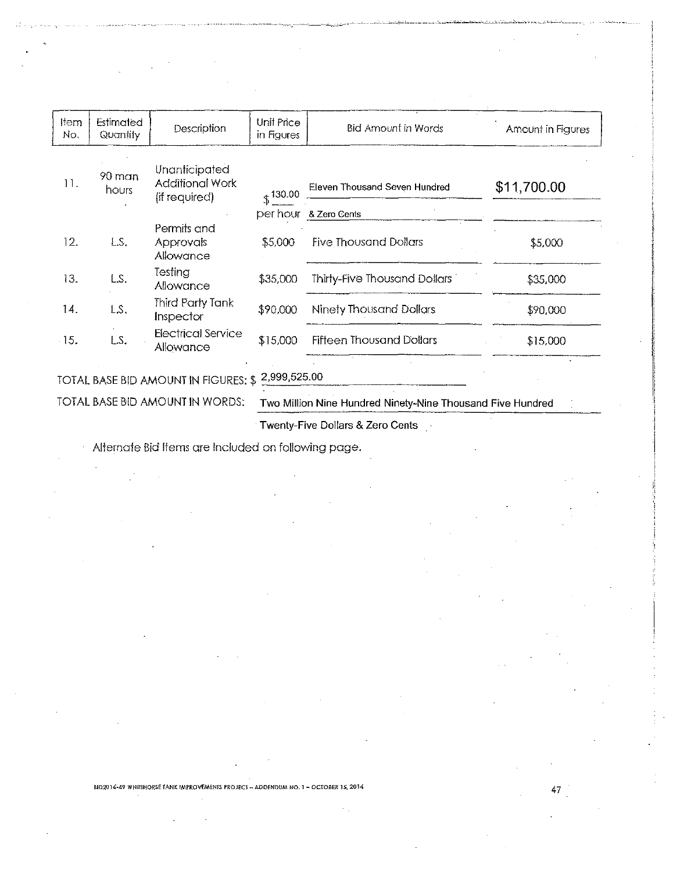| ltem<br>No. | Estimated<br>Quantity                                                                         | Description                                              | Unit Price<br>in Figures | <b>Bid Amount in Words</b>      | Amount in Figures |  |
|-------------|-----------------------------------------------------------------------------------------------|----------------------------------------------------------|--------------------------|---------------------------------|-------------------|--|
| 11.         | 90 man<br>hours                                                                               | Unanticipated<br><b>Additional Work</b><br>(if required) | $$^{130.00}$             | Eleven Thousand Seven Hundred   | \$11,700.00       |  |
|             |                                                                                               |                                                          |                          | per hour & Zero Cents           |                   |  |
| 12.         | LS.                                                                                           | Permits and<br><b>Approvals</b><br>Allowance             | \$5,000                  | <b>Five Thousand Dollars</b>    | \$5,000           |  |
| 13.         | LS.                                                                                           | Testing<br>Allowance                                     | \$35,000                 | Thirty-Five Thousand Dollars    | \$35,000          |  |
| 14.         | LS.                                                                                           | Third Party Tank<br>Inspector                            | \$90,000                 | <b>Ninety Thousand Dollars</b>  | \$90,000          |  |
| 15.         | LS.                                                                                           | <b>Electrical Service</b><br>Allowance                   | \$15,000                 | <b>Fifteen Thousand Dollars</b> | \$15,000          |  |
|             |                                                                                               |                                                          |                          |                                 |                   |  |
|             | TOTAL BASE BID AMOUNT IN FIGURES: \$ 2,999,525.00                                             |                                                          |                          |                                 |                   |  |
|             | TOTAL BASE BID AMOUNT IN WORDS:<br>Two Million Nine Hundred Ninety-Nine Thousand Five Hundred |                                                          |                          |                                 |                   |  |

Twenty-Five Dollars & Zero Cents

Alternate Bid Items are Included on following page.

BID2014-49 WHITEHORSE TANK IMPROVEMENTS PROJECT - ADDENDUM NO. 1 - OCTOBER 15, 2014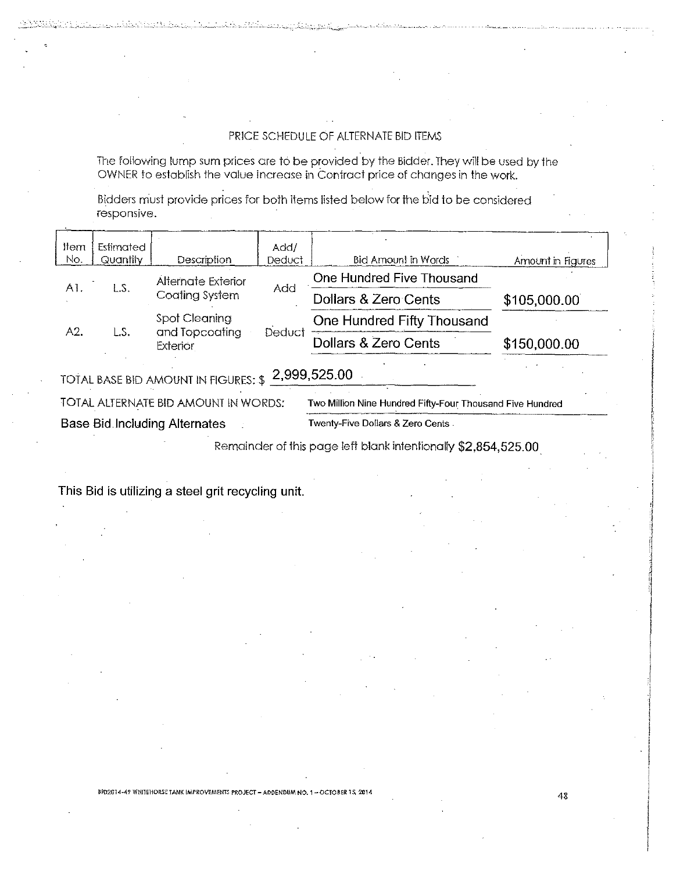## PRICE SCHEDULE OF ALTERNATE BID ITEMS

The following lump sum prices are to be provided by the Bidder. They will be used by the OWNER to establish the value increase in Contract price of changes in the work.

Bidders must provide prices for both items listed below for the bid to be considered responsive.

| ltem<br>No.                                        | Estimated<br>Quantity | Description                          | Add/<br><b>Deduct</b> | Bid Amount in Words       | Amount in Figures |
|----------------------------------------------------|-----------------------|--------------------------------------|-----------------------|---------------------------|-------------------|
| A1.                                                | LS.                   | Alternate Exterior                   | Add                   | One Hundred Five Thousand |                   |
|                                                    |                       | Coating System                       |                       | Dollars & Zero Cents      | \$105,000.00      |
| Spot Cleaning<br>One Hundred Fifty Thousand<br>A2. |                       |                                      |                       |                           |                   |
|                                                    | LS.                   | and Topcoating<br>Exterior           | Deduct                | Dollars & Zero Cents      | \$150,000.00      |
|                                                    |                       | TOTAL BASE BID AMOUNT IN FIGURES: \$ |                       | 2,999,525.00              |                   |

**Base Bid Including Alternates** Twenty-Five Dollars & Zero Cents

Remainder of this page left blank intentionally \$2,854,525.00

This Bid is utilizing a steel grit recycling unit.

BID2014-49 WHITEHORSE TANK IMPROVEMENTS PROJECT - ADDENDBM NO. 1 - OCTOBER 15, 2014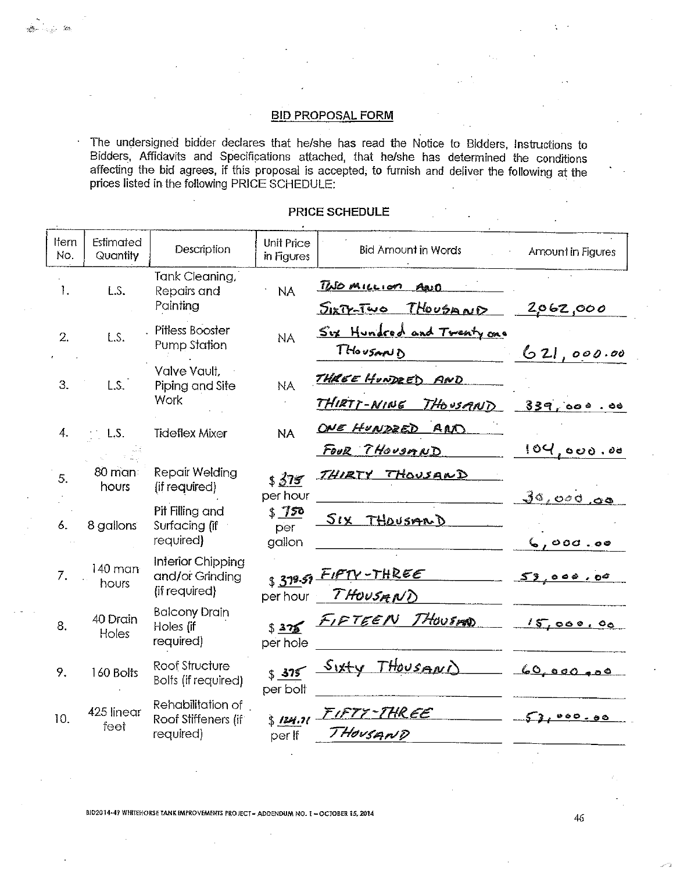# **BID PROPOSAL FORM**

ga <sub>mar</sub>iya

ł,

The undersigned bidder declares that he/she has read the Notice to Bidders, Instructions to Bidders, Affidavits and Specifications attached, that he/she has determined the conditions affecting the bid agrees, if this proposal is accepted, to furnish and deliver the following at the prices listed in the following PRICE SCHEDULE:

| Item<br>No. | Estimated<br>Quantity | Description                                           | Unit Price<br>in Figures | <b>Bid Amount in Words</b>                   | Amount in Figures |
|-------------|-----------------------|-------------------------------------------------------|--------------------------|----------------------------------------------|-------------------|
| 1.          | L.S.                  | Tank Cleaning,<br>Repairs and<br>Painting             | <b>NA</b>                | TWO <u>MILLION</u> AND<br>SIXTY-TWO THOUSAND | 2062,000          |
| 2.          | L.S.                  | Pitless Booster<br>Pump Station                       | <b>NA</b>                | Six Hundred and Twenty one<br>THOUSAND       | 621,000.00        |
| 3.          | L.S.                  | Valve Vault,<br>Piping and Site<br>Work               | <b>NA</b>                | THREE HUNDEED AND<br>THIRTT-NINE THOUSAND    | 339,000.00        |
| 4.          | L.S.                  | <b>Tideflex Mixer</b>                                 | <b>NA</b>                | ONE HUNDEED AND<br>FOUR THOUSAND             | 104,000.00        |
| 5.          | 80 man<br>hours       | Repair Welding<br>(if required)                       | \$375<br>per hour        | <u>THIRTY THOUSAND</u>                       | 30,000,00         |
| 6.          | 8 gallons             | Pit Filling and<br>Surfacing (if<br>required)         | 5750<br>per<br>gallon    | SIX THOUSARD                                 | 6,000.00          |
| 7.          | $140$ man<br>hours    | Interior Chipping<br>and/or Grinding<br>(if required) |                          | $s39.59$ FIFTY-THREE<br>perhour THOUSANT     | 59,000.00         |
| 8.          | 40 Drain<br>Holes     | <b>Balcony Drain</b><br>Holes (if<br>required)        | per hole                 | \$375 FIFTEEN THOUSED                        | 15,000,00         |
| 9.          | 160 Bolts             | Roof Structure<br><b>Bolts</b> (if required)          | per bolt                 | \$375 Sixty THOUSAND                         | 60,000,00         |
| 10.         | 425 linear<br>feet    | Rehabilitation of<br>Roof Stiffeners (if<br>required) | $$124.71 -$<br>per If    | <u>FIFTY-THREE</u><br>THOUSAND               | 000.80            |

### PRICE SCHEDULE

BI02014-49 WHITEHORSE TANK IMPROVEMENTS PROJECT - ADDENDUM NO. 1 - OCTOBER 15, 2014

46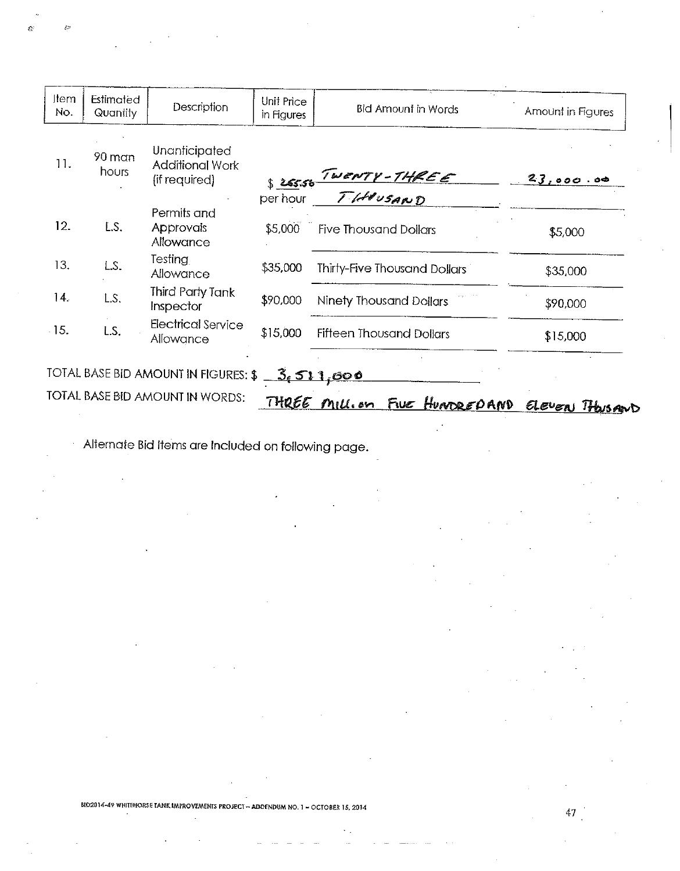| Item<br>No. | Estimated<br>Quantity | Description                                                     | Unit Price<br>in Figures | <b>Bid Amount in Words</b>     | Amount in Figures |
|-------------|-----------------------|-----------------------------------------------------------------|--------------------------|--------------------------------|-------------------|
| 11.         | 90 man<br>hours       | <b>Unanticipated</b><br><b>Additional Work</b><br>(if required) | \$25.56                  | TWENTY-THREE                   | 23,000.00         |
|             |                       |                                                                 | per hour                 |                                |                   |
| 12.         | LS.                   | Permits and<br><b>Approvals</b><br>Allowance                    | \$5,000                  | <b>Five Thousand Dollars</b>   | \$5,000           |
| 13.         | LS.                   | Testing<br>Allowance                                            | \$35,000                 | Thirty-Five Thousand Dollars   | \$35,000          |
| 14.         | LS.                   | Third Party Tank<br>Inspector                                   | \$90,000                 | <b>Ninety Thousand Dollars</b> | \$90,000          |
| $-15.$      | LS.                   | Electrical Service<br>Allowance                                 | \$15,000                 | Fifteen Thousand Dollars       | \$15,000          |
|             |                       | TOTAL BASE BID AMOUNT IN FIGURES: \$                            |                          | <u>3.511,000</u>               |                   |
|             |                       | TOTAL BASE BID AMOUNT IN WORDS:                                 | THREE                    | Five HUNDREDAND<br>Millian     | ELEVEN THOUSAND   |

Alternate Bid Items are Included on following page.

k.

BID2014-49 WHITEHORSE TANK IMPROVEMENTS PROJECT - ADDENDUM NO. 1 - OCTOBER 15, 2014